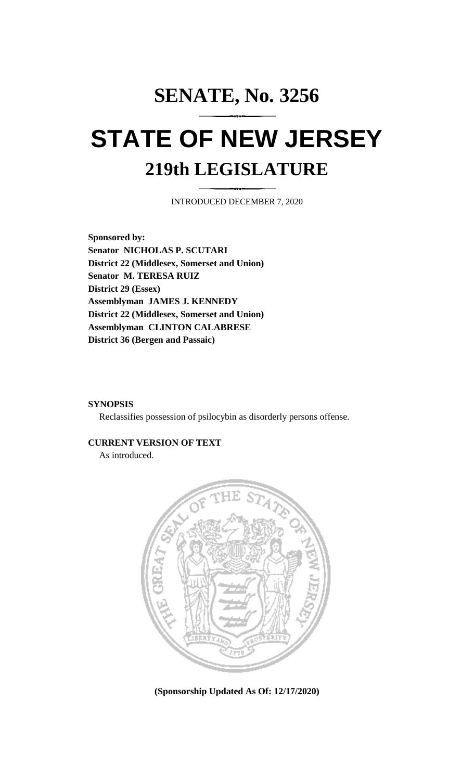## **SENATE, No. 3256 STATE OF NEW JERSEY 219th LEGISLATURE**

INTRODUCED DECEMBER 7, 2020

**Sponsored by: Senator NICHOLAS P. SCUTARI District 22 (Middlesex, Somerset and Union) Senator M. TERESA RUIZ District 29 (Essex) Assemblyman JAMES J. KENNEDY District 22 (Middlesex, Somerset and Union) Assemblyman CLINTON CALABRESE District 36 (Bergen and Passaic)**

## **SYNOPSIS**

Reclassifies possession of psilocybin as disorderly persons offense.

## **CURRENT VERSION OF TEXT**

As introduced.



**(Sponsorship Updated As Of: 12/17/2020)**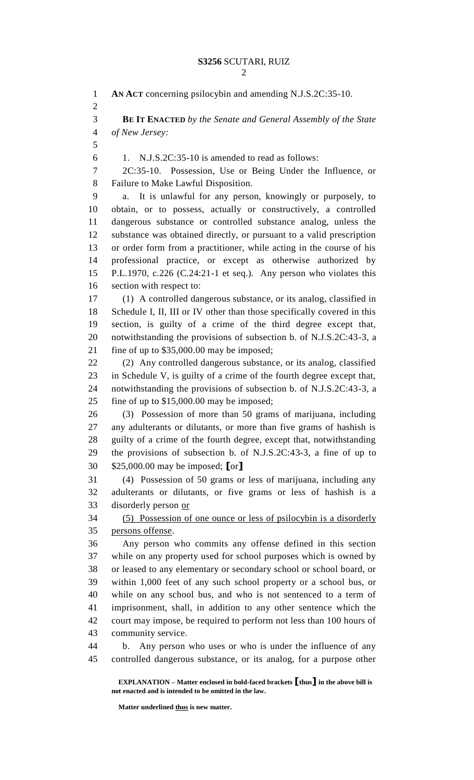**AN ACT** concerning psilocybin and amending N.J.S.2C:35-10. **BE IT ENACTED** *by the Senate and General Assembly of the State of New Jersey:* 1. N.J.S.2C:35-10 is amended to read as follows: 2C:35-10. Possession, Use or Being Under the Influence, or Failure to Make Lawful Disposition. a. It is unlawful for any person, knowingly or purposely, to obtain, or to possess, actually or constructively, a controlled dangerous substance or controlled substance analog, unless the substance was obtained directly, or pursuant to a valid prescription or order form from a practitioner, while acting in the course of his professional practice, or except as otherwise authorized by P.L.1970, c.226 (C.24:21-1 et seq.). Any person who violates this section with respect to: (1) A controlled dangerous substance, or its analog, classified in Schedule I, II, III or IV other than those specifically covered in this section, is guilty of a crime of the third degree except that, notwithstanding the provisions of subsection b. of N.J.S.2C:43-3, a fine of up to \$35,000.00 may be imposed; (2) Any controlled dangerous substance, or its analog, classified in Schedule V, is guilty of a crime of the fourth degree except that, notwithstanding the provisions of subsection b. of N.J.S.2C:43-3, a fine of up to \$15,000.00 may be imposed; (3) Possession of more than 50 grams of marijuana, including any adulterants or dilutants, or more than five grams of hashish is guilty of a crime of the fourth degree, except that, notwithstanding the provisions of subsection b. of N.J.S.2C:43-3, a fine of up to \$25,000.00 may be imposed; **[**or**]** (4) Possession of 50 grams or less of marijuana, including any adulterants or dilutants, or five grams or less of hashish is a disorderly person or (5) Possession of one ounce or less of psilocybin is a disorderly persons offense. Any person who commits any offense defined in this section while on any property used for school purposes which is owned by or leased to any elementary or secondary school or school board, or within 1,000 feet of any such school property or a school bus, or while on any school bus, and who is not sentenced to a term of imprisonment, shall, in addition to any other sentence which the court may impose, be required to perform not less than 100 hours of community service. b. Any person who uses or who is under the influence of any controlled dangerous substance, or its analog, for a purpose other

**EXPLANATION – Matter enclosed in bold-faced brackets [thus] in the above bill is not enacted and is intended to be omitted in the law.**

**Matter underlined thus is new matter.**